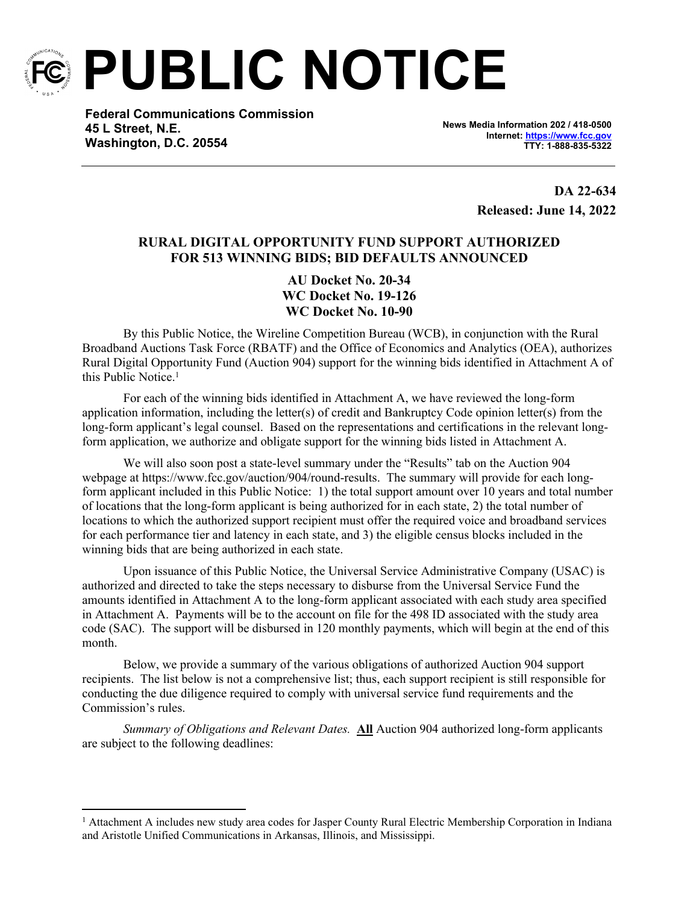

**PUBLIC NOTICE**

**Federal Communications Commission 45 L Street, N.E. Washington, D.C. 20554**

**News Media Information 202 / 418-0500 Internet:<https://www.fcc.gov> TTY: 1-888-835-5322**

> **DA 22-634 Released: June 14, 2022**

# **RURAL DIGITAL OPPORTUNITY FUND SUPPORT AUTHORIZED FOR 513 WINNING BIDS; BID DEFAULTS ANNOUNCED**

**AU Docket No. 20-34 WC Docket No. 19-126 WC Docket No. 10-90**

By this Public Notice, the Wireline Competition Bureau (WCB), in conjunction with the Rural Broadband Auctions Task Force (RBATF) and the Office of Economics and Analytics (OEA), authorizes Rural Digital Opportunity Fund (Auction 904) support for the winning bids identified in Attachment A of this Public Notice.<sup>1</sup>

For each of the winning bids identified in Attachment A, we have reviewed the long-form application information, including the letter(s) of credit and Bankruptcy Code opinion letter(s) from the long-form applicant's legal counsel. Based on the representations and certifications in the relevant longform application, we authorize and obligate support for the winning bids listed in Attachment A.

We will also soon post a state-level summary under the "Results" tab on the Auction 904 webpage at https://www.fcc.gov/auction/904/round-results. The summary will provide for each longform applicant included in this Public Notice: 1) the total support amount over 10 years and total number of locations that the long-form applicant is being authorized for in each state, 2) the total number of locations to which the authorized support recipient must offer the required voice and broadband services for each performance tier and latency in each state, and 3) the eligible census blocks included in the winning bids that are being authorized in each state.

Upon issuance of this Public Notice, the Universal Service Administrative Company (USAC) is authorized and directed to take the steps necessary to disburse from the Universal Service Fund the amounts identified in Attachment A to the long-form applicant associated with each study area specified in Attachment A. Payments will be to the account on file for the 498 ID associated with the study area code (SAC). The support will be disbursed in 120 monthly payments, which will begin at the end of this month.

Below, we provide a summary of the various obligations of authorized Auction 904 support recipients. The list below is not a comprehensive list; thus, each support recipient is still responsible for conducting the due diligence required to comply with universal service fund requirements and the Commission's rules.

*Summary of Obligations and Relevant Dates.* **All** Auction 904 authorized long-form applicants are subject to the following deadlines:

<sup>&</sup>lt;sup>1</sup> Attachment A includes new study area codes for Jasper County Rural Electric Membership Corporation in Indiana and Aristotle Unified Communications in Arkansas, Illinois, and Mississippi.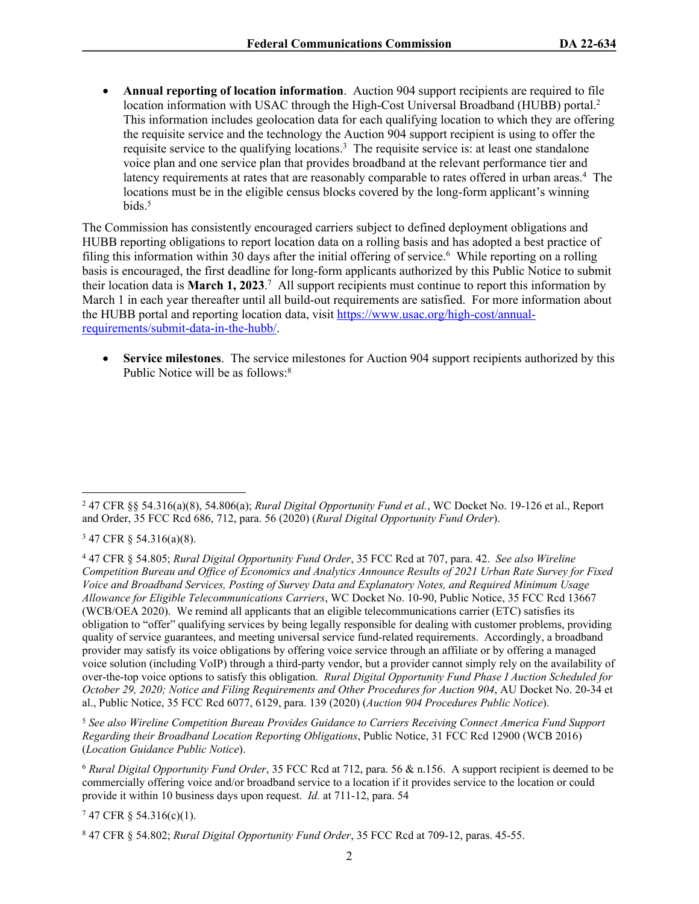**Annual reporting of location information**. Auction 904 support recipients are required to file location information with USAC through the High-Cost Universal Broadband (HUBB) portal.<sup>2</sup> This information includes geolocation data for each qualifying location to which they are offering the requisite service and the technology the Auction 904 support recipient is using to offer the requisite service to the qualifying locations.<sup>3</sup> The requisite service is: at least one standalone voice plan and one service plan that provides broadband at the relevant performance tier and latency requirements at rates that are reasonably comparable to rates offered in urban areas.<sup>4</sup> The locations must be in the eligible census blocks covered by the long-form applicant's winning bids.<sup>5</sup>

The Commission has consistently encouraged carriers subject to defined deployment obligations and HUBB reporting obligations to report location data on a rolling basis and has adopted a best practice of filing this information within 30 days after the initial offering of service.<sup>6</sup> While reporting on a rolling basis is encouraged, the first deadline for long-form applicants authorized by this Public Notice to submit their location data is **March 1, 2023**. 7 All support recipients must continue to report this information by March 1 in each year thereafter until all build-out requirements are satisfied. For more information about the HUBB portal and reporting location data, visit [https://www.usac.org/high-cost/annual](https://www.usac.org/high-cost/annual-requirements/submit-data-in-the-hubb/)[requirements/submit-data-in-the-hubb/](https://www.usac.org/high-cost/annual-requirements/submit-data-in-the-hubb/).

 **Service milestones**. The service milestones for Auction 904 support recipients authorized by this Public Notice will be as follows:<sup>8</sup>

<sup>5</sup> *See also Wireline Competition Bureau Provides Guidance to Carriers Receiving Connect America Fund Support Regarding their Broadband Location Reporting Obligations*, Public Notice, 31 FCC Rcd 12900 (WCB 2016) (*Location Guidance Public Notice*).

<sup>6</sup> *Rural Digital Opportunity Fund Order*, 35 FCC Rcd at 712, para. 56 & n.156. A support recipient is deemed to be commercially offering voice and/or broadband service to a location if it provides service to the location or could provide it within 10 business days upon request. *Id.* at 711-12, para. 54

7 47 CFR § 54.316(c)(1).

<sup>2</sup> 47 CFR §§ 54.316(a)(8), 54.806(a); *Rural Digital Opportunity Fund et al.*, WC Docket No. 19-126 et al., Report and Order, 35 FCC Rcd 686, 712, para. 56 (2020) (*Rural Digital Opportunity Fund Order*).

<sup>3</sup> 47 CFR § 54.316(a)(8).

<sup>4</sup> 47 CFR § 54.805; *Rural Digital Opportunity Fund Order*, 35 FCC Rcd at 707, para. 42. *See also Wireline Competition Bureau and Office of Economics and Analytics Announce Results of 2021 Urban Rate Survey for Fixed Voice and Broadband Services, Posting of Survey Data and Explanatory Notes, and Required Minimum Usage Allowance for Eligible Telecommunications Carriers*, WC Docket No. 10-90, Public Notice, 35 FCC Rcd 13667 (WCB/OEA 2020). We remind all applicants that an eligible telecommunications carrier (ETC) satisfies its obligation to "offer" qualifying services by being legally responsible for dealing with customer problems, providing quality of service guarantees, and meeting universal service fund-related requirements. Accordingly, a broadband provider may satisfy its voice obligations by offering voice service through an affiliate or by offering a managed voice solution (including VoIP) through a third-party vendor, but a provider cannot simply rely on the availability of over-the-top voice options to satisfy this obligation. *Rural Digital Opportunity Fund Phase I Auction Scheduled for October 29, 2020; Notice and Filing Requirements and Other Procedures for Auction 904*, AU Docket No. 20-34 et al., Public Notice, 35 FCC Rcd 6077, 6129, para. 139 (2020) (*Auction 904 Procedures Public Notice*).

<sup>8</sup> 47 CFR § 54.802; *Rural Digital Opportunity Fund Order*, 35 FCC Rcd at 709-12, paras. 45-55.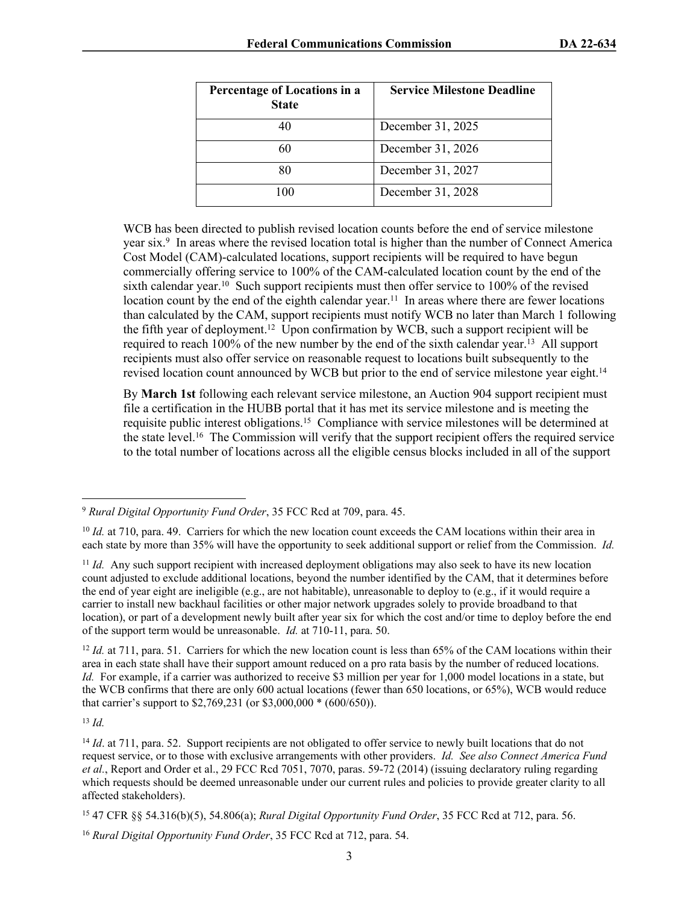| Percentage of Locations in a<br><b>State</b> | <b>Service Milestone Deadline</b> |
|----------------------------------------------|-----------------------------------|
|                                              | December 31, 2025                 |
|                                              | December 31, 2026                 |
|                                              | December 31, 2027                 |
| 100                                          | December 31, 2028                 |

WCB has been directed to publish revised location counts before the end of service milestone year six.<sup>9</sup> In areas where the revised location total is higher than the number of Connect America Cost Model (CAM)-calculated locations, support recipients will be required to have begun commercially offering service to 100% of the CAM-calculated location count by the end of the sixth calendar year.<sup>10</sup> Such support recipients must then offer service to  $100\%$  of the revised location count by the end of the eighth calendar year.<sup>11</sup> In areas where there are fewer locations than calculated by the CAM, support recipients must notify WCB no later than March 1 following the fifth year of deployment.<sup>12</sup> Upon confirmation by WCB, such a support recipient will be required to reach 100% of the new number by the end of the sixth calendar year.<sup>13</sup> All support recipients must also offer service on reasonable request to locations built subsequently to the revised location count announced by WCB but prior to the end of service milestone year eight.<sup>14</sup>

By **March 1st** following each relevant service milestone, an Auction 904 support recipient must file a certification in the HUBB portal that it has met its service milestone and is meeting the requisite public interest obligations.<sup>15</sup> Compliance with service milestones will be determined at the state level.<sup>16</sup> The Commission will verify that the support recipient offers the required service to the total number of locations across all the eligible census blocks included in all of the support

<sup>12</sup> *Id.* at 711, para. 51. Carriers for which the new location count is less than 65% of the CAM locations within their area in each state shall have their support amount reduced on a pro rata basis by the number of reduced locations. *Id.* For example, if a carrier was authorized to receive \$3 million per year for 1,000 model locations in a state, but the WCB confirms that there are only 600 actual locations (fewer than 650 locations, or 65%), WCB would reduce that carrier's support to \$2,769,231 (or \$3,000,000 \* (600/650)).

<sup>13</sup> *Id.*

<sup>9</sup> *Rural Digital Opportunity Fund Order*, 35 FCC Rcd at 709, para. 45.

<sup>&</sup>lt;sup>10</sup> *Id.* at 710, para. 49. Carriers for which the new location count exceeds the CAM locations within their area in each state by more than 35% will have the opportunity to seek additional support or relief from the Commission. *Id.*

<sup>&</sup>lt;sup>11</sup> *Id.* Any such support recipient with increased deployment obligations may also seek to have its new location count adjusted to exclude additional locations, beyond the number identified by the CAM, that it determines before the end of year eight are ineligible (e.g., are not habitable), unreasonable to deploy to (e.g., if it would require a carrier to install new backhaul facilities or other major network upgrades solely to provide broadband to that location), or part of a development newly built after year six for which the cost and/or time to deploy before the end of the support term would be unreasonable. *Id.* at 710-11, para. 50.

<sup>&</sup>lt;sup>14</sup> *Id.* at 711, para. 52. Support recipients are not obligated to offer service to newly built locations that do not request service, or to those with exclusive arrangements with other providers. *Id. See also Connect America Fund et al.*, Report and Order et al., 29 FCC Rcd 7051, 7070, paras. 59-72 (2014) (issuing declaratory ruling regarding which requests should be deemed unreasonable under our current rules and policies to provide greater clarity to all affected stakeholders).

<sup>15</sup> 47 CFR §§ 54.316(b)(5), 54.806(a); *Rural Digital Opportunity Fund Order*, 35 FCC Rcd at 712, para. 56.

<sup>16</sup> *Rural Digital Opportunity Fund Order*, 35 FCC Rcd at 712, para. 54.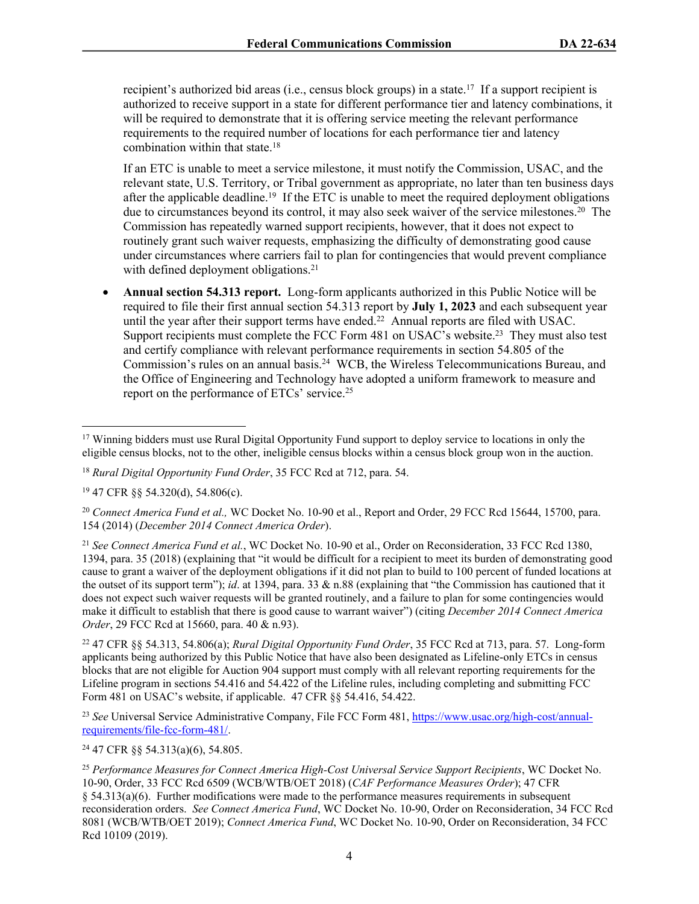recipient's authorized bid areas (i.e., census block groups) in a state.<sup>17</sup> If a support recipient is authorized to receive support in a state for different performance tier and latency combinations, it will be required to demonstrate that it is offering service meeting the relevant performance requirements to the required number of locations for each performance tier and latency combination within that state.<sup>18</sup>

If an ETC is unable to meet a service milestone, it must notify the Commission, USAC, and the relevant state, U.S. Territory, or Tribal government as appropriate, no later than ten business days after the applicable deadline.<sup>19</sup> If the ETC is unable to meet the required deployment obligations due to circumstances beyond its control, it may also seek waiver of the service milestones.<sup>20</sup> The Commission has repeatedly warned support recipients, however, that it does not expect to routinely grant such waiver requests, emphasizing the difficulty of demonstrating good cause under circumstances where carriers fail to plan for contingencies that would prevent compliance with defined deployment obligations.<sup>21</sup>

 **Annual section 54.313 report.** Long-form applicants authorized in this Public Notice will be required to file their first annual section 54.313 report by **July 1, 2023** and each subsequent year until the year after their support terms have ended.<sup>22</sup> Annual reports are filed with USAC. Support recipients must complete the FCC Form 481 on USAC's website.<sup>23</sup> They must also test and certify compliance with relevant performance requirements in section 54.805 of the Commission's rules on an annual basis.<sup>24</sup> WCB, the Wireless Telecommunications Bureau, and the Office of Engineering and Technology have adopted a uniform framework to measure and report on the performance of ETCs' service.<sup>25</sup>

<sup>21</sup> *See Connect America Fund et al.*, WC Docket No. 10-90 et al., Order on Reconsideration, 33 FCC Rcd 1380, 1394, para. 35 (2018) (explaining that "it would be difficult for a recipient to meet its burden of demonstrating good cause to grant a waiver of the deployment obligations if it did not plan to build to 100 percent of funded locations at the outset of its support term"); *id*. at 1394, para. 33 & n.88 (explaining that "the Commission has cautioned that it does not expect such waiver requests will be granted routinely, and a failure to plan for some contingencies would make it difficult to establish that there is good cause to warrant waiver") (citing *December 2014 Connect America Order*, 29 FCC Rcd at 15660, para. 40 & n.93).

<sup>22</sup> 47 CFR §§ 54.313, 54.806(a); *Rural Digital Opportunity Fund Order*, 35 FCC Rcd at 713, para. 57. Long-form applicants being authorized by this Public Notice that have also been designated as Lifeline-only ETCs in census blocks that are not eligible for Auction 904 support must comply with all relevant reporting requirements for the Lifeline program in sections 54.416 and 54.422 of the Lifeline rules, including completing and submitting FCC Form 481 on USAC's website, if applicable. 47 CFR §§ 54.416, 54.422.

<sup>23</sup> *See* Universal Service Administrative Company, File FCC Form 481, [https://www.usac.org/high-cost/annual](https://www.usac.org/high-cost/annual-requirements/file-fcc-form-481/)[requirements/file-fcc-form-481/.](https://www.usac.org/high-cost/annual-requirements/file-fcc-form-481/)

<sup>24</sup> 47 CFR §§ 54.313(a)(6), 54.805.

<sup>&</sup>lt;sup>17</sup> Winning bidders must use Rural Digital Opportunity Fund support to deploy service to locations in only the eligible census blocks, not to the other, ineligible census blocks within a census block group won in the auction.

<sup>18</sup> *Rural Digital Opportunity Fund Order*, 35 FCC Rcd at 712, para. 54.

<sup>19</sup> 47 CFR §§ 54.320(d), 54.806(c).

<sup>20</sup> *Connect America Fund et al.,* WC Docket No. 10-90 et al., Report and Order, 29 FCC Rcd 15644, 15700, para. 154 (2014) (*December 2014 Connect America Order*).

<sup>25</sup> *Performance Measures for Connect America High-Cost Universal Service Support Recipients*, WC Docket No. 10-90, Order, 33 FCC Rcd 6509 (WCB/WTB/OET 2018) (*CAF Performance Measures Order*); 47 CFR § 54.313(a)(6). Further modifications were made to the performance measures requirements in subsequent reconsideration orders. *See Connect America Fund*, WC Docket No. 10-90, Order on Reconsideration, 34 FCC Rcd 8081 (WCB/WTB/OET 2019); *Connect America Fund*, WC Docket No. 10-90, Order on Reconsideration, 34 FCC Rcd 10109 (2019).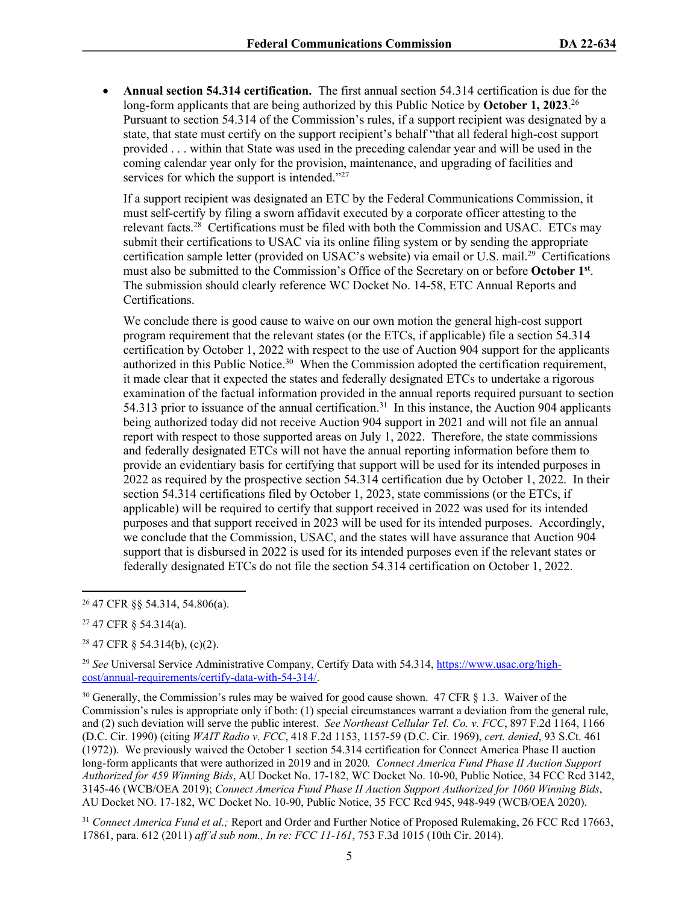**Annual section 54.314 certification.** The first annual section 54.314 certification is due for the long-form applicants that are being authorized by this Public Notice by **October 1, 2023**. 26 Pursuant to section 54.314 of the Commission's rules, if a support recipient was designated by a state, that state must certify on the support recipient's behalf "that all federal high-cost support provided . . . within that State was used in the preceding calendar year and will be used in the coming calendar year only for the provision, maintenance, and upgrading of facilities and services for which the support is intended."<sup>27</sup>

If a support recipient was designated an ETC by the Federal Communications Commission, it must self-certify by filing a sworn affidavit executed by a corporate officer attesting to the relevant facts.<sup>28</sup> Certifications must be filed with both the Commission and USAC. ETCs may submit their certifications to USAC via its online filing system or by sending the appropriate certification sample letter (provided on USAC's website) via email or U.S. mail.<sup>29</sup> Certifications must also be submitted to the Commission's Office of the Secretary on or before **October 1st** . The submission should clearly reference WC Docket No. 14-58, ETC Annual Reports and Certifications.

We conclude there is good cause to waive on our own motion the general high-cost support program requirement that the relevant states (or the ETCs, if applicable) file a section 54.314 certification by October 1, 2022 with respect to the use of Auction 904 support for the applicants authorized in this Public Notice.<sup>30</sup> When the Commission adopted the certification requirement, it made clear that it expected the states and federally designated ETCs to undertake a rigorous examination of the factual information provided in the annual reports required pursuant to section 54.313 prior to issuance of the annual certification.<sup>31</sup> In this instance, the Auction 904 applicants being authorized today did not receive Auction 904 support in 2021 and will not file an annual report with respect to those supported areas on July 1, 2022. Therefore, the state commissions and federally designated ETCs will not have the annual reporting information before them to provide an evidentiary basis for certifying that support will be used for its intended purposes in 2022 as required by the prospective section 54.314 certification due by October 1, 2022. In their section 54.314 certifications filed by October 1, 2023, state commissions (or the ETCs, if applicable) will be required to certify that support received in 2022 was used for its intended purposes and that support received in 2023 will be used for its intended purposes. Accordingly, we conclude that the Commission, USAC, and the states will have assurance that Auction 904 support that is disbursed in 2022 is used for its intended purposes even if the relevant states or federally designated ETCs do not file the section 54.314 certification on October 1, 2022.

<sup>28</sup> 47 CFR § 54.314(b), (c)(2).

<sup>29</sup> *See* Universal Service Administrative Company, Certify Data with 54.314, [https://www.usac.org/high](https://www.usac.org/high-cost/annual-requirements/certify-data-with-54-314/)[cost/annual-requirements/certify-data-with-54-314/](https://www.usac.org/high-cost/annual-requirements/certify-data-with-54-314/).

<sup>30</sup> Generally, the Commission's rules may be waived for good cause shown. 47 CFR § 1.3. Waiver of the Commission's rules is appropriate only if both: (1) special circumstances warrant a deviation from the general rule, and (2) such deviation will serve the public interest. *See Northeast Cellular Tel. Co. v. FCC*, 897 F.2d 1164, 1166 (D.C. Cir. 1990) (citing *WAIT Radio v. FCC*, 418 F.2d 1153, 1157-59 (D.C. Cir. 1969), *cert. denied*, 93 S.Ct. 461 (1972)). We previously waived the October 1 section 54.314 certification for Connect America Phase II auction long-form applicants that were authorized in 2019 and in 2020*. Connect America Fund Phase II Auction Support Authorized for 459 Winning Bids*, AU Docket No. 17-182, WC Docket No. 10-90, Public Notice, 34 FCC Rcd 3142, 3145-46 (WCB/OEA 2019); *Connect America Fund Phase II Auction Support Authorized for 1060 Winning Bids*, AU Docket NO. 17-182, WC Docket No. 10-90, Public Notice, 35 FCC Rcd 945, 948-949 (WCB/OEA 2020).

<sup>31</sup> *Connect America Fund et al.;* Report and Order and Further Notice of Proposed Rulemaking, 26 FCC Rcd 17663, 17861, para. 612 (2011) *aff'd sub nom., In re: FCC 11-161*, 753 F.3d 1015 (10th Cir. 2014).

<sup>26</sup> 47 CFR §§ 54.314, 54.806(a).

<sup>27</sup> 47 CFR § 54.314(a).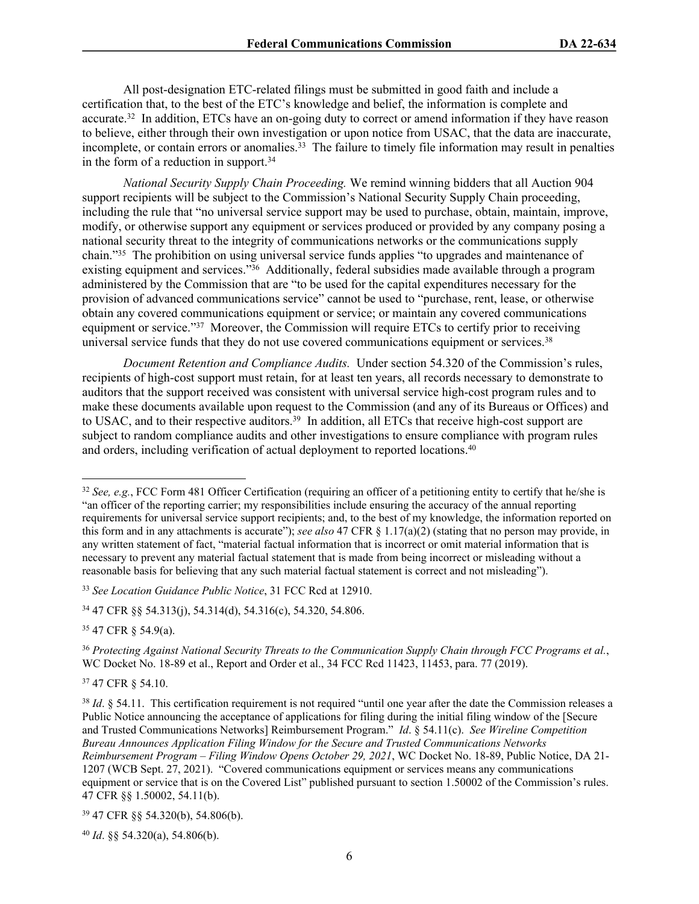All post-designation ETC-related filings must be submitted in good faith and include a certification that, to the best of the ETC's knowledge and belief, the information is complete and accurate.<sup>32</sup> In addition, ETCs have an on-going duty to correct or amend information if they have reason to believe, either through their own investigation or upon notice from USAC, that the data are inaccurate, incomplete, or contain errors or anomalies.<sup>33</sup> The failure to timely file information may result in penalties in the form of a reduction in support.<sup>34</sup>

*National Security Supply Chain Proceeding.* We remind winning bidders that all Auction 904 support recipients will be subject to the Commission's National Security Supply Chain proceeding, including the rule that "no universal service support may be used to purchase, obtain, maintain, improve, modify, or otherwise support any equipment or services produced or provided by any company posing a national security threat to the integrity of communications networks or the communications supply chain."<sup>35</sup> The prohibition on using universal service funds applies "to upgrades and maintenance of existing equipment and services."<sup>36</sup> Additionally, federal subsidies made available through a program administered by the Commission that are "to be used for the capital expenditures necessary for the provision of advanced communications service" cannot be used to "purchase, rent, lease, or otherwise obtain any covered communications equipment or service; or maintain any covered communications equipment or service."<sup>37</sup> Moreover, the Commission will require ETCs to certify prior to receiving universal service funds that they do not use covered communications equipment or services.<sup>38</sup>

*Document Retention and Compliance Audits.* Under section 54.320 of the Commission's rules, recipients of high-cost support must retain, for at least ten years, all records necessary to demonstrate to auditors that the support received was consistent with universal service high-cost program rules and to make these documents available upon request to the Commission (and any of its Bureaus or Offices) and to USAC, and to their respective auditors.<sup>39</sup> In addition, all ETCs that receive high-cost support are subject to random compliance audits and other investigations to ensure compliance with program rules and orders, including verification of actual deployment to reported locations.<sup>40</sup>

<sup>35</sup> 47 CFR § 54.9(a).

<sup>37</sup> 47 CFR § 54.10.

<sup>40</sup> *Id*. §§ 54.320(a), 54.806(b).

<sup>32</sup> *See, e.g.*, FCC Form 481 Officer Certification (requiring an officer of a petitioning entity to certify that he/she is "an officer of the reporting carrier; my responsibilities include ensuring the accuracy of the annual reporting requirements for universal service support recipients; and, to the best of my knowledge, the information reported on this form and in any attachments is accurate"); *see also* 47 CFR § 1.17(a)(2) (stating that no person may provide, in any written statement of fact, "material factual information that is incorrect or omit material information that is necessary to prevent any material factual statement that is made from being incorrect or misleading without a reasonable basis for believing that any such material factual statement is correct and not misleading").

<sup>33</sup> *See Location Guidance Public Notice*, 31 FCC Rcd at 12910.

<sup>34</sup> 47 CFR §§ 54.313(j), 54.314(d), 54.316(c), 54.320, 54.806.

<sup>36</sup> *Protecting Against National Security Threats to the Communication Supply Chain through FCC Programs et al.*, WC Docket No. 18-89 et al., Report and Order et al., 34 FCC Rcd 11423, 11453, para. 77 (2019).

<sup>&</sup>lt;sup>38</sup> *Id.* § 54.11. This certification requirement is not required "until one year after the date the Commission releases a Public Notice announcing the acceptance of applications for filing during the initial filing window of the [Secure and Trusted Communications Networks] Reimbursement Program." *Id*. § 54.11(c). *See Wireline Competition Bureau Announces Application Filing Window for the Secure and Trusted Communications Networks Reimbursement Program – Filing Window Opens October 29, 2021*, WC Docket No. 18-89, Public Notice, DA 21- 1207 (WCB Sept. 27, 2021). "Covered communications equipment or services means any communications equipment or service that is on the Covered List" published pursuant to section 1.50002 of the Commission's rules. 47 CFR §§ 1.50002, 54.11(b).

<sup>39</sup> 47 CFR §§ 54.320(b), 54.806(b).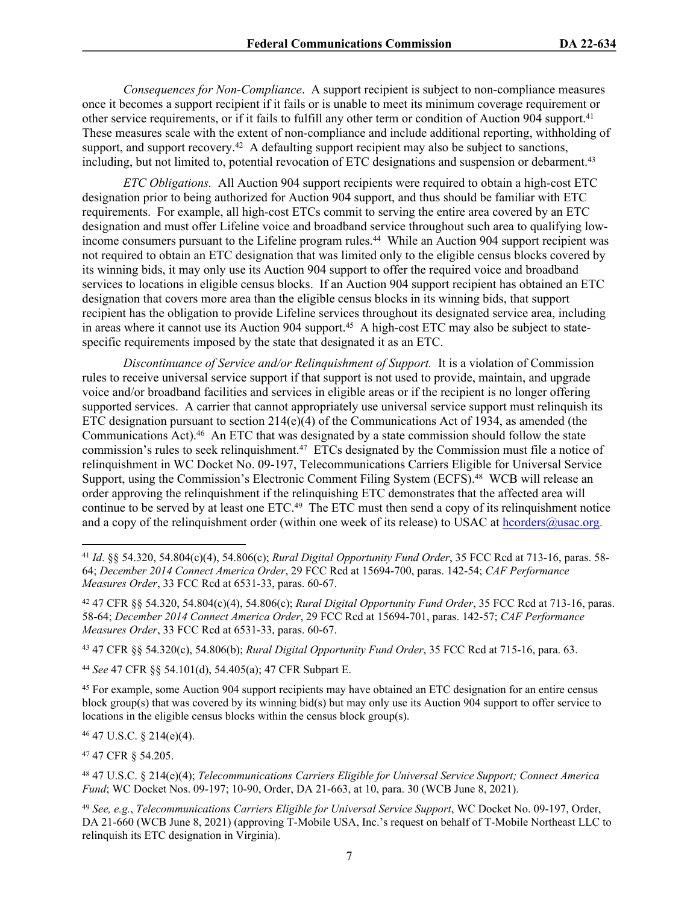*Consequences for Non-Compliance*. A support recipient is subject to non-compliance measures once it becomes a support recipient if it fails or is unable to meet its minimum coverage requirement or other service requirements, or if it fails to fulfill any other term or condition of Auction 904 support.<sup>41</sup> These measures scale with the extent of non-compliance and include additional reporting, withholding of support, and support recovery.<sup>42</sup> A defaulting support recipient may also be subject to sanctions, including, but not limited to, potential revocation of ETC designations and suspension or debarment.<sup>43</sup>

*ETC Obligations.* All Auction 904 support recipients were required to obtain a high-cost ETC designation prior to being authorized for Auction 904 support, and thus should be familiar with ETC requirements. For example, all high-cost ETCs commit to serving the entire area covered by an ETC designation and must offer Lifeline voice and broadband service throughout such area to qualifying lowincome consumers pursuant to the Lifeline program rules.<sup>44</sup> While an Auction 904 support recipient was not required to obtain an ETC designation that was limited only to the eligible census blocks covered by its winning bids, it may only use its Auction 904 support to offer the required voice and broadband services to locations in eligible census blocks. If an Auction 904 support recipient has obtained an ETC designation that covers more area than the eligible census blocks in its winning bids, that support recipient has the obligation to provide Lifeline services throughout its designated service area, including in areas where it cannot use its Auction 904 support.<sup>45</sup> A high-cost ETC may also be subject to statespecific requirements imposed by the state that designated it as an ETC.

*Discontinuance of Service and/or Relinquishment of Support.* It is a violation of Commission rules to receive universal service support if that support is not used to provide, maintain, and upgrade voice and/or broadband facilities and services in eligible areas or if the recipient is no longer offering supported services. A carrier that cannot appropriately use universal service support must relinquish its ETC designation pursuant to section  $214(e)(4)$  of the Communications Act of 1934, as amended (the Communications Act).<sup>46</sup> An ETC that was designated by a state commission should follow the state commission's rules to seek relinquishment.<sup>47</sup> ETCs designated by the Commission must file a notice of relinquishment in WC Docket No. 09-197, Telecommunications Carriers Eligible for Universal Service Support, using the Commission's Electronic Comment Filing System (ECFS).<sup>48</sup> WCB will release an order approving the relinquishment if the relinquishing ETC demonstrates that the affected area will continue to be served by at least one ETC.<sup>49</sup> The ETC must then send a copy of its relinquishment notice and a copy of the relinquishment order (within one week of its release) to USAC at [hcorders@usac.org](mailto:hcorders@usac.org).

<sup>43</sup> 47 CFR §§ 54.320(c), 54.806(b); *Rural Digital Opportunity Fund Order*, 35 FCC Rcd at 715-16, para. 63.

<sup>44</sup> *See* 47 CFR §§ 54.101(d), 54.405(a); 47 CFR Subpart E.

<sup>45</sup> For example, some Auction 904 support recipients may have obtained an ETC designation for an entire census block group(s) that was covered by its winning bid(s) but may only use its Auction 904 support to offer service to locations in the eligible census blocks within the census block group(s).

 $46$  47 U.S.C. § 214(e)(4).

<sup>47</sup> 47 CFR § 54.205.

<sup>41</sup> *Id*. §§ 54.320, 54.804(c)(4), 54.806(c); *Rural Digital Opportunity Fund Order*, 35 FCC Rcd at 713-16, paras. 58- 64; *December 2014 Connect America Order*, 29 FCC Rcd at 15694-700, paras. 142-54; *CAF Performance Measures Order*, 33 FCC Rcd at 6531-33, paras. 60-67.

<sup>42</sup> 47 CFR §§ 54.320, 54.804(c)(4), 54.806(c); *Rural Digital Opportunity Fund Order*, 35 FCC Rcd at 713-16, paras. 58-64; *December 2014 Connect America Order*, 29 FCC Rcd at 15694-701, paras. 142-57; *CAF Performance Measures Order*, 33 FCC Rcd at 6531-33, paras. 60-67.

<sup>48</sup> 47 U.S.C. § 214(e)(4); *Telecommunications Carriers Eligible for Universal Service Support; Connect America Fund*; WC Docket Nos. 09-197; 10-90, Order, DA 21-663, at 10, para. 30 (WCB June 8, 2021).

<sup>49</sup> *See, e.g.*, *Telecommunications Carriers Eligible for Universal Service Support*, WC Docket No. 09-197, Order, DA 21-660 (WCB June 8, 2021) (approving T-Mobile USA, Inc.'s request on behalf of T-Mobile Northeast LLC to relinquish its ETC designation in Virginia).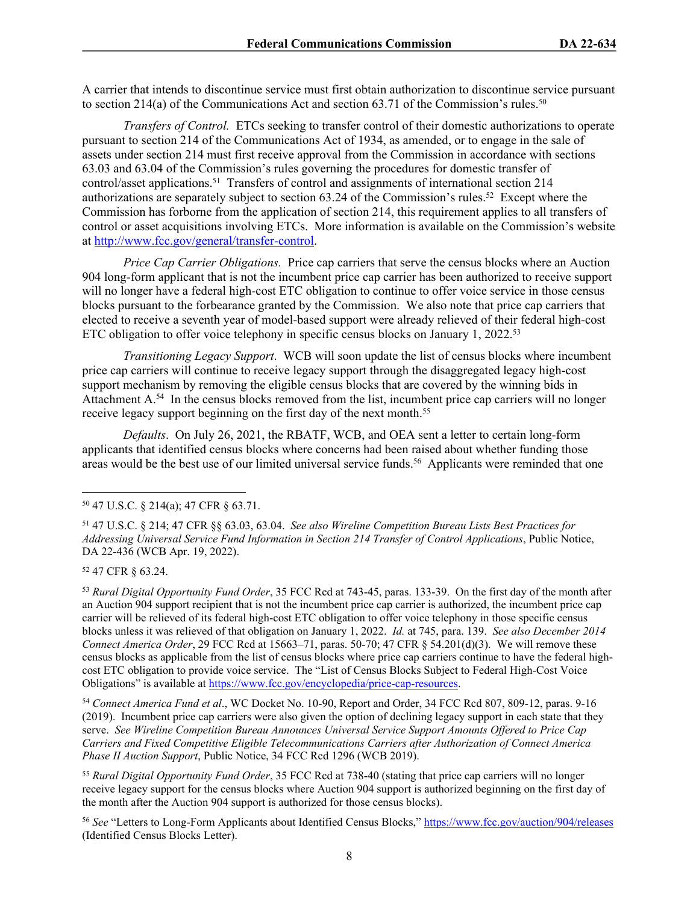A carrier that intends to discontinue service must first obtain authorization to discontinue service pursuant to section 214(a) of the Communications Act and section 63.71 of the Commission's rules.<sup>50</sup>

*Transfers of Control.* ETCs seeking to transfer control of their domestic authorizations to operate pursuant to section 214 of the Communications Act of 1934, as amended, or to engage in the sale of assets under section 214 must first receive approval from the Commission in accordance with sections 63.03 and 63.04 of the Commission's rules governing the procedures for domestic transfer of control/asset applications.<sup>51</sup> Transfers of control and assignments of international section 214 authorizations are separately subject to section 63.24 of the Commission's rules.<sup>52</sup> Except where the Commission has forborne from the application of section 214, this requirement applies to all transfers of control or asset acquisitions involving ETCs. More information is available on the Commission's website at <http://www.fcc.gov/general/transfer-control>.

*Price Cap Carrier Obligations.* Price cap carriers that serve the census blocks where an Auction 904 long-form applicant that is not the incumbent price cap carrier has been authorized to receive support will no longer have a federal high-cost ETC obligation to continue to offer voice service in those census blocks pursuant to the forbearance granted by the Commission. We also note that price cap carriers that elected to receive a seventh year of model-based support were already relieved of their federal high-cost ETC obligation to offer voice telephony in specific census blocks on January 1, 2022.<sup>53</sup>

*Transitioning Legacy Support*. WCB will soon update the list of census blocks where incumbent price cap carriers will continue to receive legacy support through the disaggregated legacy high-cost support mechanism by removing the eligible census blocks that are covered by the winning bids in Attachment A.<sup>54</sup> In the census blocks removed from the list, incumbent price cap carriers will no longer receive legacy support beginning on the first day of the next month.<sup>55</sup>

*Defaults*. On July 26, 2021, the RBATF, WCB, and OEA sent a letter to certain long-form applicants that identified census blocks where concerns had been raised about whether funding those areas would be the best use of our limited universal service funds.<sup>56</sup> Applicants were reminded that one

<sup>52</sup> 47 CFR § 63.24.

<sup>53</sup> *Rural Digital Opportunity Fund Order*, 35 FCC Rcd at 743-45, paras. 133-39. On the first day of the month after an Auction 904 support recipient that is not the incumbent price cap carrier is authorized, the incumbent price cap carrier will be relieved of its federal high-cost ETC obligation to offer voice telephony in those specific census blocks unless it was relieved of that obligation on January 1, 2022. *Id.* at 745, para. 139. *See also December 2014 Connect America Order*, 29 FCC Rcd at 15663–71, paras. 50-70; 47 CFR § 54.201(d)(3). We will remove these census blocks as applicable from the list of census blocks where price cap carriers continue to have the federal highcost ETC obligation to provide voice service. The "List of Census Blocks Subject to Federal High-Cost Voice Obligations" is available at<https://www.fcc.gov/encyclopedia/price-cap-resources>.

<sup>54</sup> *Connect America Fund et al*., WC Docket No. 10-90, Report and Order, 34 FCC Rcd 807, 809-12, paras. 9-16 (2019). Incumbent price cap carriers were also given the option of declining legacy support in each state that they serve. *See Wireline Competition Bureau Announces Universal Service Support Amounts Offered to Price Cap Carriers and Fixed Competitive Eligible Telecommunications Carriers after Authorization of Connect America Phase II Auction Support*, Public Notice, 34 FCC Rcd 1296 (WCB 2019).

<sup>55</sup> *Rural Digital Opportunity Fund Order*, 35 FCC Rcd at 738-40 (stating that price cap carriers will no longer receive legacy support for the census blocks where Auction 904 support is authorized beginning on the first day of the month after the Auction 904 support is authorized for those census blocks).

<sup>56</sup> *See* "Letters to Long-Form Applicants about Identified Census Blocks,"<https://www.fcc.gov/auction/904/releases> (Identified Census Blocks Letter).

<sup>50</sup> 47 U.S.C. § 214(a); 47 CFR § 63.71.

<sup>51</sup> 47 U.S.C. § 214; 47 CFR §§ 63.03, 63.04. *See also Wireline Competition Bureau Lists Best Practices for Addressing Universal Service Fund Information in Section 214 Transfer of Control Applications*, Public Notice, DA 22-436 (WCB Apr. 19, 2022).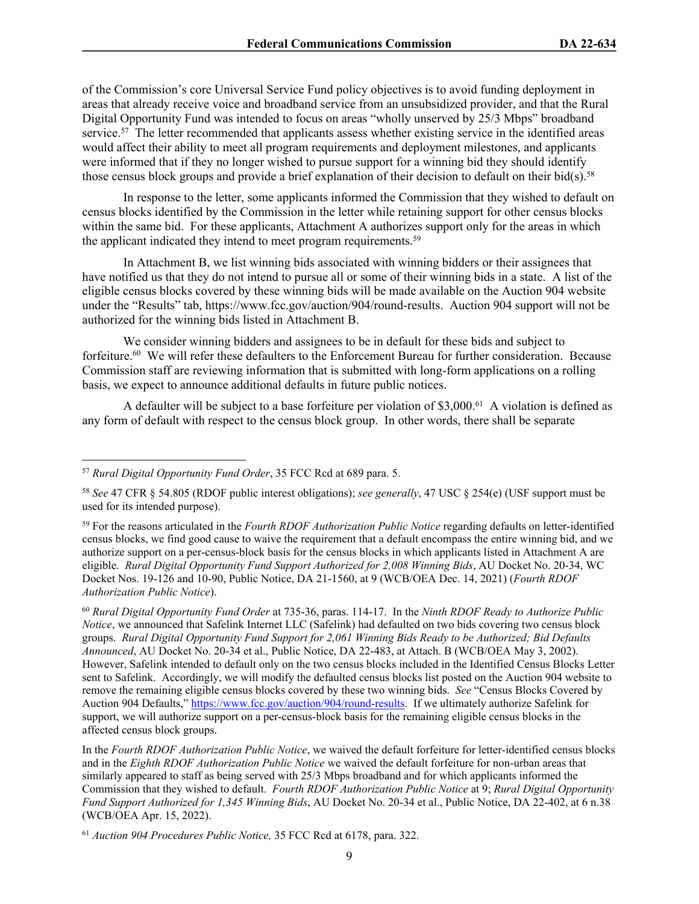of the Commission's core Universal Service Fund policy objectives is to avoid funding deployment in areas that already receive voice and broadband service from an unsubsidized provider, and that the Rural Digital Opportunity Fund was intended to focus on areas "wholly unserved by 25/3 Mbps" broadband service.<sup>57</sup> The letter recommended that applicants assess whether existing service in the identified areas would affect their ability to meet all program requirements and deployment milestones, and applicants were informed that if they no longer wished to pursue support for a winning bid they should identify those census block groups and provide a brief explanation of their decision to default on their bid(s).<sup>58</sup>

In response to the letter, some applicants informed the Commission that they wished to default on census blocks identified by the Commission in the letter while retaining support for other census blocks within the same bid. For these applicants, Attachment A authorizes support only for the areas in which the applicant indicated they intend to meet program requirements.<sup>59</sup>

In Attachment B, we list winning bids associated with winning bidders or their assignees that have notified us that they do not intend to pursue all or some of their winning bids in a state. A list of the eligible census blocks covered by these winning bids will be made available on the Auction 904 website under the "Results" tab, https://www.fcc.gov/auction/904/round-results. Auction 904 support will not be authorized for the winning bids listed in Attachment B.

We consider winning bidders and assignees to be in default for these bids and subject to forfeiture.<sup>60</sup> We will refer these defaulters to the Enforcement Bureau for further consideration. Because Commission staff are reviewing information that is submitted with long-form applications on a rolling basis, we expect to announce additional defaults in future public notices.

A defaulter will be subject to a base forfeiture per violation of \$3,000.<sup>61</sup> A violation is defined as any form of default with respect to the census block group. In other words, there shall be separate

<sup>57</sup> *Rural Digital Opportunity Fund Order*, 35 FCC Rcd at 689 para. 5.

<sup>58</sup> *See* 47 CFR § 54.805 (RDOF public interest obligations); *see generally*, 47 USC § 254(e) (USF support must be used for its intended purpose).

<sup>59</sup> For the reasons articulated in the *Fourth RDOF Authorization Public Notice* regarding defaults on letter-identified census blocks, we find good cause to waive the requirement that a default encompass the entire winning bid, and we authorize support on a per-census-block basis for the census blocks in which applicants listed in Attachment A are eligible. *Rural Digital Opportunity Fund Support Authorized for 2,008 Winning Bids*, AU Docket No. 20-34, WC Docket Nos. 19-126 and 10-90, Public Notice, DA 21-1560, at 9 (WCB/OEA Dec. 14, 2021) (*Fourth RDOF Authorization Public Notice*).

<sup>60</sup> *Rural Digital Opportunity Fund Order* at 735-36, paras. 114-17. In the *Ninth RDOF Ready to Authorize Public Notice*, we announced that Safelink Internet LLC (Safelink) had defaulted on two bids covering two census block groups. *Rural Digital Opportunity Fund Support for 2,061 Winning Bids Ready to be Authorized; Bid Defaults Announced*, AU Docket No. 20-34 et al., Public Notice, DA 22-483, at Attach. B (WCB/OEA May 3, 2002). However, Safelink intended to default only on the two census blocks included in the Identified Census Blocks Letter sent to Safelink. Accordingly, we will modify the defaulted census blocks list posted on the Auction 904 website to remove the remaining eligible census blocks covered by these two winning bids. *See* "Census Blocks Covered by Auction 904 Defaults," [https://www.fcc.gov/auction/904/round-results.](https://www.fcc.gov/auction/904/round-results) If we ultimately authorize Safelink for support, we will authorize support on a per-census-block basis for the remaining eligible census blocks in the affected census block groups.

In the *Fourth RDOF Authorization Public Notice*, we waived the default forfeiture for letter-identified census blocks and in the *Eighth RDOF Authorization Public Notice* we waived the default forfeiture for non-urban areas that similarly appeared to staff as being served with 25/3 Mbps broadband and for which applicants informed the Commission that they wished to default. *Fourth RDOF Authorization Public Notice* at 9; *Rural Digital Opportunity Fund Support Authorized for 1,345 Winning Bids*, AU Docket No. 20-34 et al., Public Notice, DA 22-402, at 6 n.38 (WCB/OEA Apr. 15, 2022).

<sup>61</sup> *Auction 904 Procedures Public Notice,* 35 FCC Rcd at 6178, para. 322.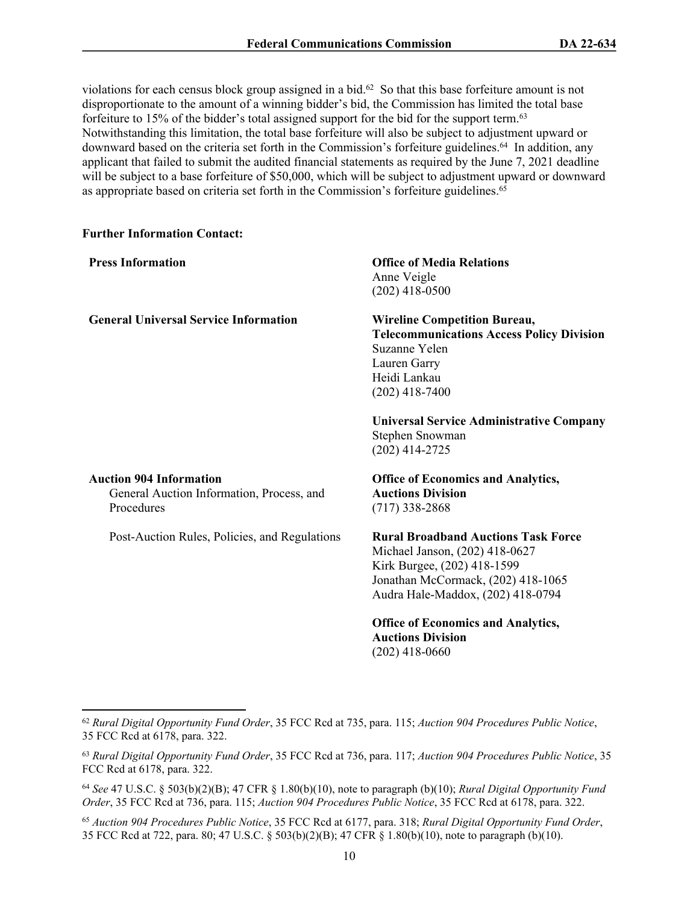violations for each census block group assigned in a bid.<sup>62</sup> So that this base forfeiture amount is not disproportionate to the amount of a winning bidder's bid, the Commission has limited the total base forfeiture to 15% of the bidder's total assigned support for the bid for the support term.<sup>63</sup> Notwithstanding this limitation, the total base forfeiture will also be subject to adjustment upward or downward based on the criteria set forth in the Commission's forfeiture guidelines.<sup>64</sup> In addition, any applicant that failed to submit the audited financial statements as required by the June 7, 2021 deadline will be subject to a base forfeiture of \$50,000, which will be subject to adjustment upward or downward as appropriate based on criteria set forth in the Commission's forfeiture guidelines.<sup>65</sup>

## **Further Information Contact:**

| <b>Press Information</b>                                                                  | <b>Office of Media Relations</b><br>Anne Veigle<br>$(202)$ 418-0500                                                                                                                    |
|-------------------------------------------------------------------------------------------|----------------------------------------------------------------------------------------------------------------------------------------------------------------------------------------|
| <b>General Universal Service Information</b>                                              | <b>Wireline Competition Bureau,</b><br><b>Telecommunications Access Policy Division</b><br>Suzanne Yelen<br>Lauren Garry<br>Heidi Lankau<br>$(202)$ 418-7400                           |
|                                                                                           | <b>Universal Service Administrative Company</b><br>Stephen Snowman<br>$(202)$ 414-2725                                                                                                 |
| <b>Auction 904 Information</b><br>General Auction Information, Process, and<br>Procedures | <b>Office of Economics and Analytics,</b><br><b>Auctions Division</b><br>$(717)$ 338-2868                                                                                              |
| Post-Auction Rules, Policies, and Regulations                                             | <b>Rural Broadband Auctions Task Force</b><br>Michael Janson, (202) 418-0627<br>Kirk Burgee, (202) 418-1599<br>Jonathan McCormack, (202) 418-1065<br>Audra Hale-Maddox, (202) 418-0794 |
|                                                                                           | <b>Office of Economics and Analytics,</b>                                                                                                                                              |

<sup>62</sup> *Rural Digital Opportunity Fund Order*, 35 FCC Rcd at 735, para. 115; *Auction 904 Procedures Public Notice*, 35 FCC Rcd at 6178, para. 322.

**Auctions Division**  (202) 418-0660

<sup>63</sup> *Rural Digital Opportunity Fund Order*, 35 FCC Rcd at 736, para. 117; *Auction 904 Procedures Public Notice*, 35 FCC Rcd at 6178, para. 322.

<sup>64</sup> *See* 47 U.S.C. § 503(b)(2)(B); 47 CFR § 1.80(b)(10), note to paragraph (b)(10); *Rural Digital Opportunity Fund Order*, 35 FCC Rcd at 736, para. 115; *Auction 904 Procedures Public Notice*, 35 FCC Rcd at 6178, para. 322.

<sup>65</sup> *Auction 904 Procedures Public Notice*, 35 FCC Rcd at 6177, para. 318; *Rural Digital Opportunity Fund Order*, 35 FCC Rcd at 722, para. 80; 47 U.S.C. § 503(b)(2)(B); 47 CFR § 1.80(b)(10), note to paragraph (b)(10).